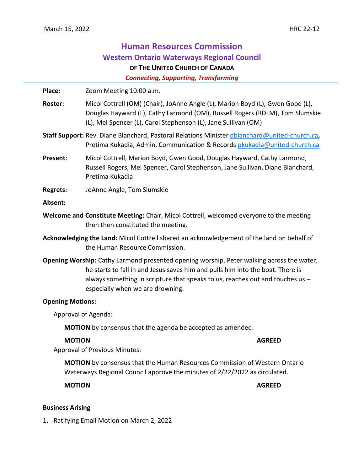# **Human Resources Commission Western Ontario Waterways Regional Council OF THE UNITED CHURCH OF CANADA**

*Connecting, Supporting, Transforming*

Place: Zoom Meeting 10:00 a.m.

**Roster:** Micol Cottrell (OM) (Chair), JoAnne Angle (L), Marion Boyd (L), Gwen Good (L), Douglas Hayward (L), Cathy Larmond (OM), Russell Rogers (RDLM), Tom Slumskie (L), Mel Spencer (L), Carol Stephenson (L), Jane Sullivan (OM)

- **Staff Support:** Rev. Diane Blanchard, Pastoral Relations Minister [dblanchard@united-church.ca](mailto:dblanchard@united-church.ca)**,**  Pretima Kukadia, Admin, Communication & Records [pkukadia@united-church.ca](mailto:pkukadia@united-church.ca)
- **Present**: Micol Cottrell, Marion Boyd, Gwen Good, Douglas Hayward, Cathy Larmond, Russell Rogers, Mel Spencer, Carol Stephenson, Jane Sullivan, Diane Blanchard, Pretima Kukadia
- **Regrets:** JoAnne Angle, Tom Slumskie

#### **Absent:**

- **Welcome and Constitute Meeting:** Chair, Micol Cottrell, welcomed everyone to the meeting then then constituted the meeting.
- **Acknowledging the Land:** Micol Cottrell shared an acknowledgement of the land on behalf of the Human Resource Commission.
- **Opening Worship:** Cathy Larmond presented opening worship. Peter walking across the water, he starts to fall in and Jesus saves him and pulls him into the boat. There is always something in scripture that speaks to us, reaches out and touches us – especially when we are drowning.

#### **Opening Motions:**

Approval of Agenda:

**MOTION** by consensus that the agenda be accepted as amended.

# **MOTION AGREED**

Approval of Previous Minutes:

**MOTION** by consensus that the Human Resources Commission of Western Ontario Waterways Regional Council approve the minutes of 2/22/2022 as circulated.

**MOTION AGREED**

#### **Business Arising**

1. Ratifying Email Motion on March 2, 2022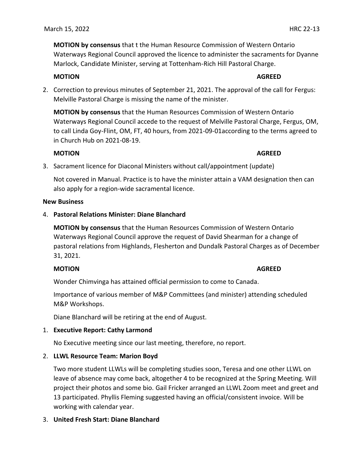March 15, 2022 HRC 22-13

**MOTION by consensus** that t the Human Resource Commission of Western Ontario Waterways Regional Council approved the licence to administer the sacraments for Dyanne Marlock, Candidate Minister, serving at Tottenham-Rich Hill Pastoral Charge.

#### **MOTION AGREED**

2. Correction to previous minutes of September 21, 2021. The approval of the call for Fergus: Melville Pastoral Charge is missing the name of the minister.

**MOTION by consensus** that the Human Resources Commission of Western Ontario Waterways Regional Council accede to the request of Melville Pastoral Charge, Fergus, OM, to call Linda Goy-Flint, OM, FT, 40 hours, from 2021-09-01according to the terms agreed to in Church Hub on 2021-08-19.

### **MOTION AGREED**

3. Sacrament licence for Diaconal Ministers without call/appointment (update)

Not covered in Manual. Practice is to have the minister attain a VAM designation then can also apply for a region-wide sacramental licence.

#### **New Business**

4. **Pastoral Relations Minister: Diane Blanchard**

**MOTION by consensus** that the Human Resources Commission of Western Ontario Waterways Regional Council approve the request of David Shearman for a change of pastoral relations from Highlands, Flesherton and Dundalk Pastoral Charges as of December 31, 2021.

# **MOTION AGREED**

Wonder Chimvinga has attained official permission to come to Canada.

Importance of various member of M&P Committees (and minister) attending scheduled M&P Workshops.

Diane Blanchard will be retiring at the end of August.

# 1. **Executive Report: Cathy Larmond**

No Executive meeting since our last meeting, therefore, no report.

# 2. **LLWL Resource Team: Marion Boyd**

Two more student LLWLs will be completing studies soon, Teresa and one other LLWL on leave of absence may come back, altogether 4 to be recognized at the Spring Meeting. Will project their photos and some bio. Gail Fricker arranged an LLWL Zoom meet and greet and 13 participated. Phyllis Fleming suggested having an official/consistent invoice. Will be working with calendar year.

# 3. **United Fresh Start: Diane Blanchard**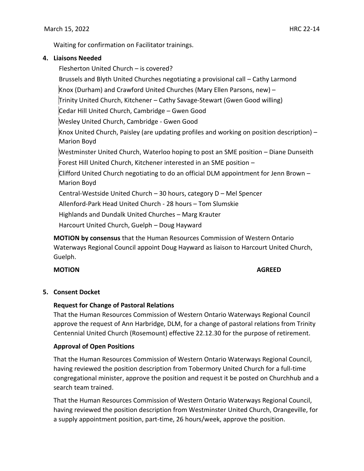Waiting for confirmation on Facilitator trainings.

### **4. Liaisons Needed**

Flesherton United Church – is covered? Brussels and Blyth United Churches negotiating a provisional call – Cathy Larmond Knox (Durham) and Crawford United Churches (Mary Ellen Parsons, new) – Trinity United Church, Kitchener – Cathy Savage-Stewart (Gwen Good willing) Cedar Hill United Church, Cambridge – Gwen Good Wesley United Church, Cambridge - Gwen Good Knox United Church, Paisley (are updating profiles and working on position description)  $-$ Marion Boyd Westminster United Church, Waterloo hoping to post an SME position – Diane Dunseith Forest Hill United Church, Kitchener interested in an SME position – Clifford United Church negotiating to do an official DLM appointment for Jenn Brown – Marion Boyd Central-Westside United Church – 30 hours, category D – Mel Spencer Allenford-Park Head United Church - 28 hours – Tom Slumskie Highlands and Dundalk United Churches – Marg Krauter Harcourt United Church, Guelph – Doug Hayward

**MOTION by consensus** that the Human Resources Commission of Western Ontario Waterways Regional Council appoint Doug Hayward as liaison to Harcourt United Church, Guelph.

# **MOTION AGREED**

#### **5. Consent Docket**

# **Request for Change of Pastoral Relations**

That the Human Resources Commission of Western Ontario Waterways Regional Council approve the request of Ann Harbridge, DLM, for a change of pastoral relations from Trinity Centennial United Church (Rosemount) effective 22.12.30 for the purpose of retirement.

# **Approval of Open Positions**

That the Human Resources Commission of Western Ontario Waterways Regional Council, having reviewed the position description from Tobermory United Church for a full-time congregational minister, approve the position and request it be posted on Churchhub and a search team trained.

That the Human Resources Commission of Western Ontario Waterways Regional Council, having reviewed the position description from Westminster United Church, Orangeville, for a supply appointment position, part-time, 26 hours/week, approve the position.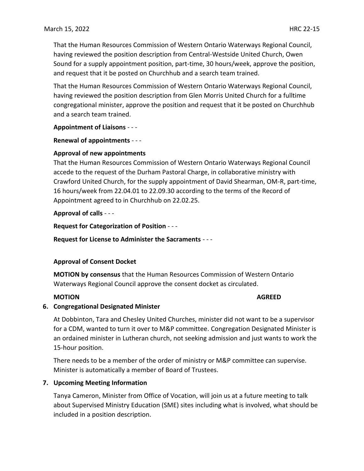That the Human Resources Commission of Western Ontario Waterways Regional Council, having reviewed the position description from Central-Westside United Church, Owen Sound for a supply appointment position, part-time, 30 hours/week, approve the position, and request that it be posted on Churchhub and a search team trained.

That the Human Resources Commission of Western Ontario Waterways Regional Council, having reviewed the position description from Glen Morris United Church for a fulltime congregational minister, approve the position and request that it be posted on Churchhub and a search team trained.

**Appointment of Liaisons** - - -

#### **Renewal of appointments** - - -

#### **Approval of new appointments**

That the Human Resources Commission of Western Ontario Waterways Regional Council accede to the request of the Durham Pastoral Charge, in collaborative ministry with Crawford United Church, for the supply appointment of David Shearman, OM-R, part-time, 16 hours/week from 22.04.01 to 22.09.30 according to the terms of the Record of Appointment agreed to in Churchhub on 22.02.25.

**Approval of calls** - - -

**Request for Categorization of Position** - - -

**Request for License to Administer the Sacraments** - - -

# **Approval of Consent Docket**

**MOTION by consensus** that the Human Resources Commission of Western Ontario Waterways Regional Council approve the consent docket as circulated.

### **MOTION AGREED**

#### **6. Congregational Designated Minister**

At Dobbinton, Tara and Chesley United Churches, minister did not want to be a supervisor for a CDM, wanted to turn it over to M&P committee. Congregation Designated Minister is an ordained minister in Lutheran church, not seeking admission and just wants to work the 15-hour position.

There needs to be a member of the order of ministry or M&P committee can supervise. Minister is automatically a member of Board of Trustees.

# **7. Upcoming Meeting Information**

Tanya Cameron, Minister from Office of Vocation, will join us at a future meeting to talk about Supervised Ministry Education (SME) sites including what is involved, what should be included in a position description.